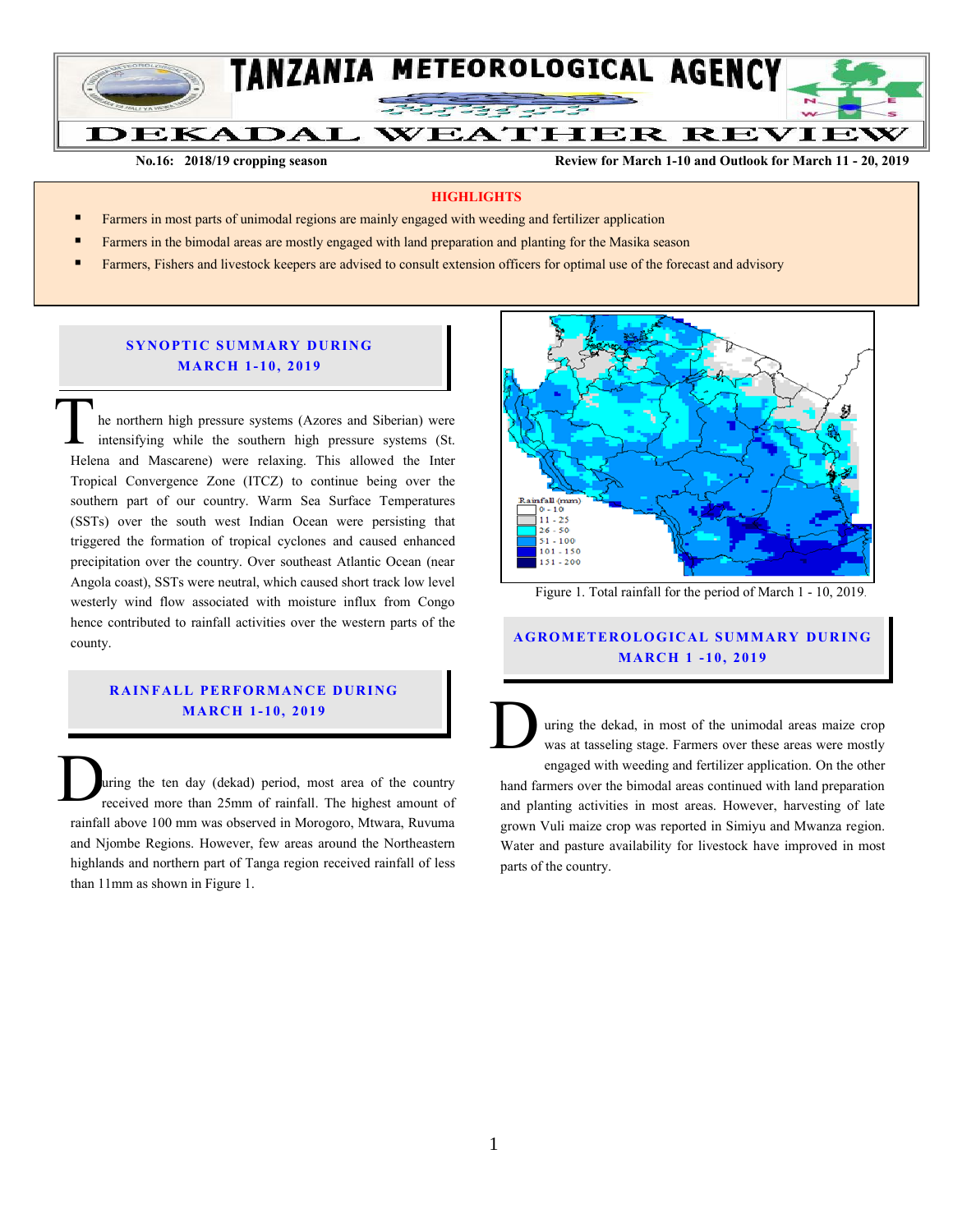

 **No.16:** 2018/19 cropping season **Review for March 1-10 and Outlook for March 11 - 20, 2019** 

#### **HIGHLIGHTS**

- Farmers in most parts of unimodal regions are mainly engaged with weeding and fertilizer application
- Farmers in the bimodal areas are mostly engaged with land preparation and planting for the Masika season
- Farmers, Fishers and livestock keepers are advised to consult extension officers for optimal use of the forecast and advisory

### **SYNOPTIC SUMMARY DURING MA RC H 1- 10, 201 9**

he northern high pressure systems (Azores and Siberian) were intensifying while the southern high pressure systems (St. Helena and Mascarene) were relaxing. This allowed the Inter Tropical Convergence Zone (ITCZ) to continue being over the southern part of our country. Warm Sea Surface Temperatures (SSTs) over the south west Indian Ocean were persisting that triggered the formation of tropical cyclones and caused enhanced precipitation over the country. Over southeast Atlantic Ocean (near Angola coast), SSTs were neutral, which caused short track low level westerly wind flow associated with moisture influx from Congo hence contributed to rainfall activities over the western parts of the county. T<sub>Hele</sub>

## **RAINFALL PERFORMANCE DURING MA RC H 1- 10, 201 9**

uring the ten day (dekad) period, most area of the country received more than 25mm of rainfall. The highest amount of rainfall above 100 mm was observed in Morogoro, Mtwara, Ruvuma and Njombe Regions. However, few areas around the Northeastern highlands and northern part of Tanga region received rainfall of less than 11mm as shown in Figure 1. D<sub>r</sub>



Figure 1. Total rainfall for the period of March 1 - 10, 2019.

# **A G RO METER O LO G IC AL SU MMAR Y DU R IN G MA RC H 1 - 10, 201 9**

uring the dekad, in most of the unimodal areas maize crop was at tasseling stage. Farmers over these areas were mostly engaged with weeding and fertilizer application. On the other  $\overline{\mathbf{D}}$ 

hand farmers over the bimodal areas continued with land preparation and planting activities in most areas. However, harvesting of late grown Vuli maize crop was reported in Simiyu and Mwanza region. Water and pasture availability for livestock have improved in most parts of the country.